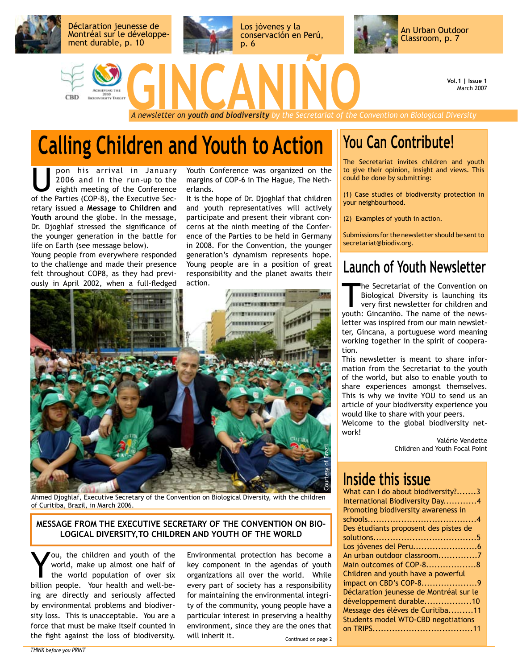

**Vol.1 | Issue 1** March 2007

### **Calling Children and Youth to Action**

pon his arrival in January 2006 and in the run-up to the eighth meeting of the Conference of the Parties (COP-8), the Executive Secretary issued a **Message to Children and Youth** around the globe. In the message, Dr. Djoghlaf stressed the significance of the younger generation in the battle for life on Earth (see message below).

Young people from everywhere responded to the challenge and made their presence felt throughout COP8, as they had previously in April 2002, when a full-fledged Youth Conference was organized on the margins of COP-6 in The Hague, The Netherlands.

It is the hope of Dr. Djoghlaf that children and youth representatives will actively participate and present their vibrant concerns at the ninth meeting of the Conference of the Parties to be held in Germany in 2008. For the Convention, the younger generation's dynamism represents hope. Young people are in a position of great responsibility and the planet awaits their action.



Ahmed Djoghlaf, Executive Secretary of the Convention on Biological Diversity, with the children of Curitiba, Brazil, in March 2006.

#### **MESSAGE FROM THE EXECUTIVE SECRETARY OF THE CONVENTION ON BIO-LOGICAL DIVERSITY,TO CHILDREN AND YOUTH OF THE WORLD**

You, the children and youth of the<br>world, make up almost one half of<br>the world population of over six<br>billian poople. Your boalth and woll be world, make up almost one half of the world population of over six billion people. Your health and well-being are directly and seriously affected by environmental problems and biodiversity loss. This is unacceptable. You are a force that must be make itself counted in the fight against the loss of biodiversity.

Environmental protection has become a key component in the agendas of youth organizations all over the world. While every part of society has a responsibility for maintaining the environmental integrity of the community, young people have a particular interest in preserving a healthy environment, since they are the ones that will inherit it.

Continued on page 2

#### **You Can Contribute!**

The Secretariat invites children and youth to give their opinion, insight and views. This could be done by submitting:

(1) Case studies of biodiversity protection in your neighbourhood.

(2) Examples of youth in action.

Submissions for the newsletter should be sent to secretariat@biodiv.org.

#### **Launch of Youth Newsletter**

The Secretariat of the Convention on<br>Biological Diversity is launching its<br>very first newsletter for children and<br>vouth: Giocaniõe. The name of the news-Biological Diversity is launching its very first newsletter for children and youth: Gincaniño. The name of the newsletter was inspired from our main newsletter, Gincana, a portuguese word meaning working together in the spirit of cooperation.

This newsletter is meant to share information from the Secretariat to the youth of the world, but also to enable youth to share experiences amongst themselves. This is why we invite YOU to send us an article of your biodiversity experience you would like to share with your peers.

Welcome to the global biodiversity network!

Valérie Vendette Children and Youth Focal Point

#### **Inside this issue**

| What can I do about biodiversity?3         |
|--------------------------------------------|
| International Biodiversity Day4            |
| Promoting biodiversity awareness in        |
|                                            |
| Des étudiants proposent des pistes de      |
|                                            |
|                                            |
| An urban outdoor classroom7                |
| Main outcomes of COP-88                    |
| Children and youth have a powerful         |
| impact on CBD's COP-89                     |
| Déclaration jeunesse de Montréal sur le    |
| développement durable10                    |
| Message des élèves de Curitiba11           |
| <b>Students model WTO-CBD negotiations</b> |
|                                            |
|                                            |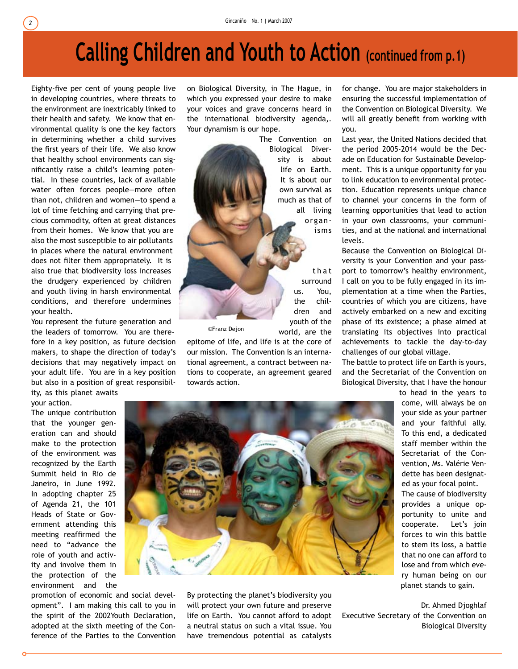# **Calling Children and Youth to Action (continued from p.1)**

Eighty-five per cent of young people live in developing countries, where threats to the environment are inextricably linked to their health and safety. We know that environmental quality is one the key factors in determining whether a child survives the first years of their life. We also know that healthy school environments can significantly raise a child's learning potential. In these countries, lack of available water often forces people—more often than not, children and women—to spend a lot of time fetching and carrying that precious commodity, often at great distances from their homes. We know that you are also the most susceptible to air pollutants in places where the natural environment does not filter them appropriately. It is also true that biodiversity loss increases the drudgery experienced by children and youth living in harsh environmental conditions, and therefore undermines your health.

You represent the future generation and the leaders of tomorrow. You are therefore in a key position, as future decision makers, to shape the direction of today's decisions that may negatively impact on your adult life. You are in a key position but also in a position of great responsibil-

ity, as this planet awaits your action.

The unique contribution that the younger generation can and should make to the protection of the environment was recognized by the Earth Summit held in Rio de Janeiro, in June 1992. In adopting chapter 25 of Agenda 21, the 101 Heads of State or Government attending this meeting reaffirmed the need to "advance the role of youth and activity and involve them in the protection of the environment and the

promotion of economic and social development". I am making this call to you in the spirit of the 2002Youth Declaration, adopted at the sixth meeting of the Conference of the Parties to the Convention on Biological Diversity, in The Hague, in which you expressed your desire to make your voices and grave concerns heard in the international biodiversity agenda,. Your dynamism is our hope.

> The Convention on Biological Diversity is about life on Earth. It is about our own survival as much as that of all living organisms

> > t h a t surround us. You, the children and youth of the world, are the

©Franz Dejon

epitome of life, and life is at the core of our mission. The Convention is an international agreement, a contract between nations to cooperate, an agreement geared towards action.

for change. You are major stakeholders in ensuring the successful implementation of the Convention on Biological Diversity. We will all greatly benefit from working with you.

Last year, the United Nations decided that the period 2005-2014 would be the Decade on Education for Sustainable Development. This is a unique opportunity for you to link education to environmental protection. Education represents unique chance to channel your concerns in the form of learning opportunities that lead to action in your own classrooms, your communities, and at the national and international levels.

Because the Convention on Biological Diversity is your Convention and your passport to tomorrow's healthy environment, I call on you to be fully engaged in its implementation at a time when the Parties, countries of which you are citizens, have actively embarked on a new and exciting phase of its existence; a phase aimed at translating its objectives into practical achievements to tackle the day-to-day challenges of our global village.

The battle to protect life on Earth is yours, and the Secretariat of the Convention on Biological Diversity, that I have the honour

> to head in the years to come, will always be on your side as your partner and your faithful ally. To this end, a dedicated staff member within the Secretariat of the Convention, Ms. Valérie Vendette has been designated as your focal point.

The cause of biodiversity provides a unique opportunity to unite and cooperate. Let's join forces to win this battle to stem its loss, a battle that no one can afford to lose and from which every human being on our planet stands to gain.

Dr. Ahmed Djoghlaf Executive Secretary of the Convention on Biological Diversity



By protecting the planet's biodiversity you will protect your own future and preserve life on Earth. You cannot afford to adopt a neutral status on such a vital issue. You have tremendous potential as catalysts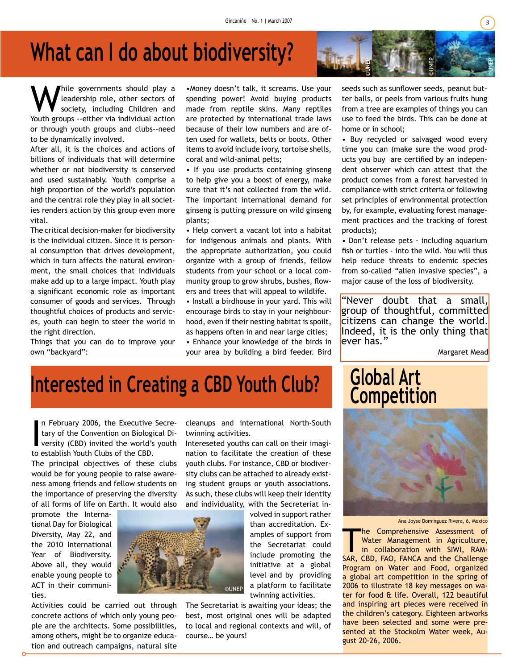### **What can I do about biodiversity?**

While governments should play a<br>leadership role, other sectors of<br>society, including Children and leadership role, other sectors of society, including Children and Youth groups --either via individual action or through youth groups and clubs--need to be dynamically involved.

After all, it is the choices and actions of billions of individuals that will determine whether or not biodiversity is conserved and used sustainably. Youth comprise a high proportion of the world's population and the central role they play in all societies renders action by this group even more vital.

The critical decision-maker for biodiversity is the individual citizen. Since it is personal consumption that drives development, which in turn affects the natural environment, the small choices that individuals make add up to a large impact. Youth play a significant economic role as important consumer of goods and services. Through thoughtful choices of products and services, youth can begin to steer the world in the right direction.

Things that you can do to improve your own "backyard":

•Money doesn't talk, it screams. Use your spending power! Avoid buying products made from reptile skins. Many reptiles are protected by international trade laws because of their low numbers and are often used for wallets, belts or boots. Other items to avoid include ivory, tortoise shells, coral and wild-animal pelts;

• If you use products containing ginseng to help give you a boost of energy, make sure that it's not collected from the wild. The important international demand for ginseng is putting pressure on wild ginseng plants;

• Help convert a vacant lot into a habitat for indigenous animals and plants. With the appropriate authorization, you could organize with a group of friends, fellow students from your school or a local community group to grow shrubs, bushes, flowers and trees that will appeal to wildlife.

• Install a birdhouse in your yard. This will encourage birds to stay in your neighbourhood, even if their nesting habitat is spoilt, as happens often in and near large cities;

• Enhance your knowledge of the birds in your area by building a bird feeder. Bird seeds such as sunflower seeds, peanut butter balls, or peels from various fruits hung from a tree are examples of things you can use to feed the birds. This can be done at home or in school;

©UNEP

©UNEP

• Buy recycled or salvaged wood every time you can (make sure the wood products you buy are certified by an independent observer which can attest that the product comes from a forest harvested in compliance with strict criteria or following set principles of environmental protection by, for example, evaluating forest management practices and the tracking of forest products);

• Don't release pets - including aquarium fish or turtles - into the wild. You will thus help reduce threats to endemic species from so-called "alien invasive species", a major cause of the loss of biodiversity.

"Never doubt that a small, group of thoughtful, committed citizens can change the world. Indeed, it is the only thing that ever has."

Margaret Mead

### **Interested in Creating a CBD Youth Club?**

In February 2006, the Executive<br>tary of the Convention on Biologi<br>versity (CBD) invited the world's<br>to establish Youth Clubs of the CBD. n February 2006, the Executive Secretary of the Convention on Biological Diversity (CBD) invited the world's youth

The principal objectives of these clubs would be for young people to raise awareness among friends and fellow students on the importance of preserving the diversity of all forms of life on Earth. It would also

promote the International Day for Biological Diversity, May 22, and the 2010 International Year of Biodiversity. Above all, they would enable young people to ACT in their communities.

Activities could be carried out through concrete actions of which only young people are the architects. Some possibilities, among others, might be to organize education and outreach campaigns, natural site cleanups and international North-South twinning activities.

Intereseted youths can call on their imagination to facilitate the creation of these youth clubs. For instance, CBD or biodiversity clubs can be attached to already existing student groups or youth associations. As such, these clubs will keep their identity and individuality, with the Secreteriat in-

> volved in support rather than accreditation. Examples of support from the Secretariat could include promoting the initiative at a global level and by providing a platform to facilitate twinning activities.

The Secretariat is awaiting your ideas; the best, most original ones will be adapted to local and regional contexts and will, of course… be yours!





Ana Joyse Dominguez Rivera, 6, Mexico

The Comprehensive Assessment of<br>
Water Management in Agriculture,<br>
in collaboration with SIWI, RAM-<br>
SAR CRD FAO FANCA and the Challenge Water Management in Agriculture, SAR, CBD, FAO, FANCA and the Challenge Program on Water and Food, organized a global art competition in the spring of 2006 to illustrate 18 key messages on water for food & life. Overall, 122 beautiful and inspiring art pieces were received in the children's category. Eighteen artworks have been selected and some were presented at the Stockolm Water week, August 20-26, 2006.

©UNEP

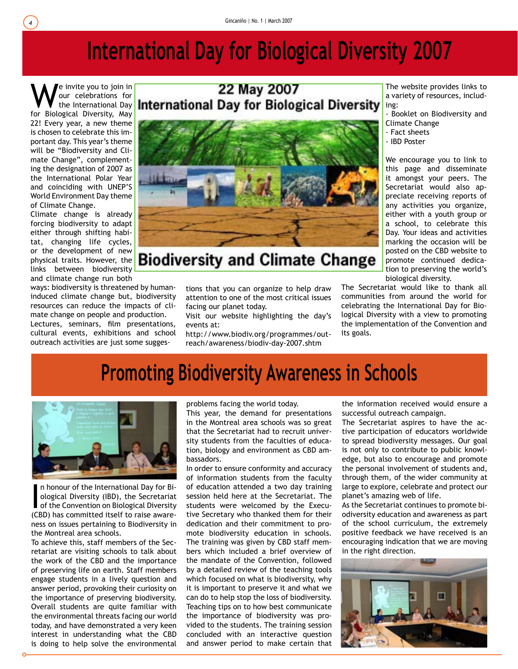### **International Day for Biological Diversity 2007**

We invite you to join in<br>the International Day<br>for Biological Diversity, May our celebrations for for Biological Diversity, May 22! Every year, a new theme is chosen to celebrate this important day. This year's theme will be "Biodiversity and Climate Change", complementing the designation of 2007 as the International Polar Year and coinciding with UNEP'S World Environment Day theme of Climate Change.

Climate change is already forcing biodiversity to adapt either through shifting habitat, changing life cycles, or the development of new physical traits. However, the links between biodiversity and climate change run both

ways: biodiversity is threatened by humaninduced climate change but, biodiversity resources can reduce the impacts of climate change on people and production. Lectures, seminars, film presentations, cultural events, exhibitions and school outreach activities are just some sugges-

# 22 May 2007



#### **Biodiversity and Climate Change**

tions that you can organize to help draw attention to one of the most critical issues facing our planet today.

Visit our website highlighting the day's events at:

http://www.biodiv.org/programmes/outreach/awareness/biodiv-day-2007.shtm

The website provides links to a variety of resources, including:

- Booklet on Biodiversity and Climate Change

- Fact sheets

- IBD Poster

We encourage you to link to this page and disseminate it amongst your peers. The Secretariat would also appreciate receiving reports of any activities you organize, either with a youth group or a school, to celebrate this Day. Your ideas and activities marking the occasion will be posted on the CBD website to promote continued dedication to preserving the world's biological diversity.

The Secretariat would like to thank all communities from around the world for celebrating the International Day for Biological Diversity with a view to promoting the implementation of the Convention and its goals.

#### **Promoting Biodiversity Awareness in Schools**



In honour of the International Day for Bi-<br>ological Diversity (IBD), the Secretariat<br>of the Convention on Biological Diversity<br>(CBD) has committed itself to raise awaren honour of the International Day for Biological Diversity (IBD), the Secretariat of the Convention on Biological Diversity ness on issues pertaining to Biodiversity in the Montreal area schools.

To achieve this, staff members of the Secretariat are visiting schools to talk about the work of the CBD and the importance of preserving life on earth. Staff members engage students in a lively question and answer period, provoking their curiosity on the importance of preserving biodiversity. Overall students are quite familiar with the environmental threats facing our world today, and have demonstrated a very keen interest in understanding what the CBD is doing to help solve the environmental problems facing the world today.

This year, the demand for presentations in the Montreal area schools was so great that the Secretariat had to recruit university students from the faculties of education, biology and environment as CBD ambassadors.

In order to ensure conformity and accuracy of information students from the faculty of education attended a two day training session held here at the Secretariat. The students were welcomed by the Executive Secretary who thanked them for their dedication and their commitment to promote biodiversity education in schools. The training was given by CBD staff members which included a brief overview of the mandate of the Convention, followed by a detailed review of the teaching tools which focused on what is biodiversity, why it is important to preserve it and what we can do to help stop the loss of biodiversity. Teaching tips on to how best communicate the importance of biodiversity was provided to the students. The training session concluded with an interactive question and answer period to make certain that

the information received would ensure a successful outreach campaign.

The Secretariat aspires to have the active participation of educators worldwide to spread biodiversity messages. Our goal is not only to contribute to public knowledge, but also to encourage and promote the personal involvement of students and, through them, of the wider community at large to explore, celebrate and protect our planet's amazing web of life.

As the Secretariat continues to promote biodiversity education and awareness as part of the school curriculum, the extremely positive feedback we have received is an encouraging indication that we are moving in the right direction.

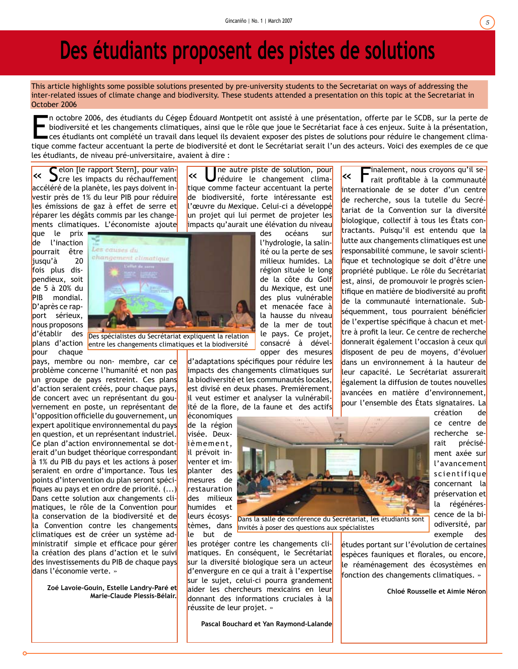### **Des étudiants proposent des pistes de solutions**

This article highlights some possible solutions presented by pre-university students to the Secretariat on ways of addressing the inter-related issues of climate change and biodiversity. These students attended a presentation on this topic at the Secretariat in October 2006

In octobre 2006, des étudiants du Cégep Édouard Montpetit ont assisté à une présentation, offerte par le SCDB, sur la perte de biodiversité et les changements climatiques, ainsi que le rôle que joue le Secrétariat face à c n octobre 2006, des étudiants du Cégep Édouard Montpetit ont assisté à une présentation, offerte par le SCDB, sur la perte de biodiversité et les changements climatiques, ainsi que le rôle que joue le Secrétariat face à ces enjeux. Suite à la présentation, ces étudiants ont complété un travail dans lequel ils devaient exposer des pistes de solutions pour réduire le changement climales étudiants, de niveau pré-universitaire, avaient à dire :

« Selon [le rapport Stern], pour vain-cre les impacts du réchauffement accéléré de la planète, les pays doivent investir près de 1% du leur PIB pour réduire les émissions de gaz à effet de serre et réparer les dégâts commis par les changements climatiques. L'économiste ajoute

que le prix de l'inaction pourrait être jusqu'à 20 fois plus dispendieux, soit de 5 à 20% du PIB mondial. D'après ce rapport sérieux, nous proposons d'établir des plans d'action pour chaque



entre les changements climatiques et la biodiversité

pays, membre ou non- membre, car ce problème concerne l'humanité et non pas un groupe de pays restreint. Ces plans d'action seraient créés, pour chaque pays, de concert avec un représentant du gouvernement en poste, un représentant de l'opposition officielle du gouvernement, un expert apolitique environnemental du pays en question, et un représentant industriel. Ce plan d'action environnemental se doterait d'un budget théorique correspondant à 1% du PIB du pays et les actions à poser seraient en ordre d'importance. Tous les points d'intervention du plan seront spécifiques au pays et en ordre de priorité. (...) Dans cette solution aux changements climatiques, le rôle de la Convention pour la conservation de la biodiversité et de la Convention contre les changements climatiques est de créer un système administratif simple et efficace pour gérer la création des plans d'action et le suivi des investissements du PIB de chaque pays dans l'économie verte. »

**Zoé Lavoie-Gouin, Estelle Landry-Paré et Marie-Claude Plessis-Bélair.**

« Une autre piste de solution, pour réduire le changement climatique comme facteur accentuant la perte de biodiversité, forte intéressante est l'œuvre du Mexique. Celui-ci a développé un projet qui lui permet de projeter les impacts qu'aurait une élévation du niveau

> des océans sur l'hydrologie, la salinité ou la perte de ses milieux humides. La région située le long de la côte du Golf du Mexique, est une des plus vulnérable et menacée face à la hausse du niveau de la mer de tout le pays. Ce projet, consacré à développer des mesures

d'adaptations spécifiques pour réduire les limpacts des changements climatiques sur la biodiversité et les communautés locales, est divisé en deux phases. Premièrement, il veut estimer et analyser la vulnérabilité de la flore, de la faune et des actifs

économiques de la région visée. Deuxièmement, il prévoit inventer et implanter des mesures de restauration des milieux humides et leurs écosystèmes, dans le but de



invités à poser des questions aux spécialistes

les protéger contre les changements climatiques. En conséquent, le Secrétariat sur la diversité biologique sera un acteur d'envergure en ce qui a trait à l'expertise sur le sujet, celui-ci pourra grandement aider les chercheurs mexicains en leur donnant des informations cruciales à la réussite de leur projet. »

**Pascal Bouchard et Yan Raymond-Lalande**

« Finalement, nous croyons qu'il se-rait profitable à la communauté internationale de se doter d'un centre de recherche, sous la tutelle du Secrétariat de la Convention sur la diversité biologique, collectif à tous les États contractants. Puisqu'il est entendu que la lutte aux changements climatiques est une responsabilité commune, le savoir scientifique et technologique se doit d'être une propriété publique. Le rôle du Secrétariat est, ainsi, de promouvoir le progrès scientifique en matière de biodiversité au profit de la communauté internationale. Subséquemment, tous pourraient bénéficier de l'expertise spécifique à chacun et mettre à profit la leur. Ce centre de recherche donnerait également l'occasion à ceux qui disposent de peu de moyens, d'évoluer dans un environnement à la hauteur de leur capacité. Le Secrétariat assurerait également la diffusion de toutes nouvelles avancées en matière d'environnement, pour l'ensemble des États signataires. La

> création de ce centre de recherche serait précisément axée sur l'avancement scientifique concernant la préservation et la régénérescence de la biodiversité, par exemple des

études portant sur l'évolution de certaines espèces fauniques et florales, ou encore, le réaménagement des écosystèmes en fonction des changements climatiques. »

**Chloé Rousselle et Aimie Néron**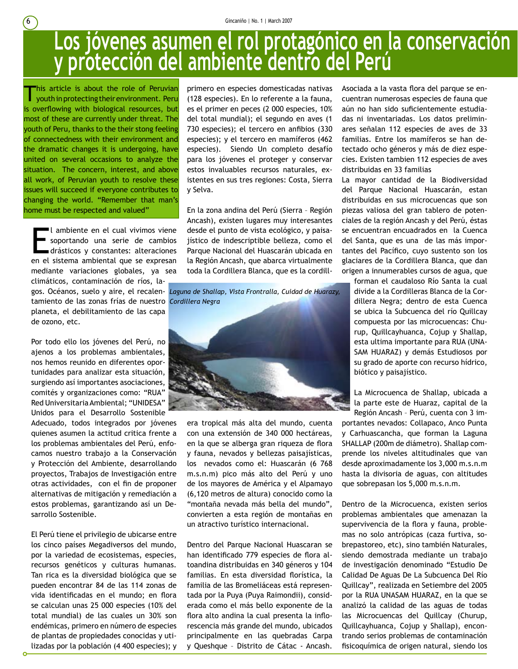#### **Los jóvenes asumen el rol protagónico en la conservación y protección del ambiente dentro del Perú**

This article is about the role of Peruvian<br>youthin protecting their environment. Peru is overflowing with biological resources, but most of these are currently under threat. The youth of Peru, thanks to the their stong feeling of connectedness with their environment and the dramatic changes it is undergoing, have united on several occasions to analyze the situation. The concern, interest, and above all work, of Peruvian youth to resolve these issues will succeed if everyone contributes to changing the world. "Remember that man's home must be respected and valued"

Lambiente en el cual vivimos viene<br>
soportando una serie de cambios<br>
drásticos y constantes: alteraciones<br>
en el sistema ambiental que se expresan l ambiente en el cual vivimos viene soportando una serie de cambios drásticos y constantes: alteraciones mediante variaciones globales, ya sea climáticos, contaminación de ríos, la-

tamiento de las zonas frías de nuestro  *Cordillera Negra* planeta, el debilitamiento de las capa de ozono, etc.

Por todo ello los jóvenes del Perú, no ajenos a los problemas ambientales, nos hemos reunido en diferentes oportunidades para analizar esta situación, surgiendo así importantes asociaciones, comités y organizaciones como: "RUA" Red Universitaria Ambiental; "UNIDESA" Unidos para el Desarrollo Sostenible

Adecuado, todos integrados por jóvenes quienes asumen la actitud critica frente a los problemas ambientales del Perú, enfocamos nuestro trabajo a la Conservación y Protección del Ambiente, desarrollando proyectos, Trabajos de Investigación entre otras actividades, con el fin de proponer alternativas de mitigación y remediación a estos problemas, garantizando así un Desarrollo Sostenible.

El Perú tiene el privilegio de ubicarse entre los cinco países Megadiversos del mundo, por la variedad de ecosistemas, especies, recursos genéticos y culturas humanas. Tan rica es la diversidad biológica que se pueden encontrar 84 de las 114 zonas de vida identificadas en el mundo; en flora se calculan unas 25 000 especies (10% del total mundial) de las cuales un 30% son endémicas, primero en número de especies de plantas de propiedades conocidas y utilizadas por la población (4 400 especies); y primero en especies domesticadas nativas (128 especies). En lo referente a la fauna, es el primer en peces (2 000 especies, 10% del total mundial); el segundo en aves (1 730 especies); el tercero en anfibios (330 especies); y el tercero en mamíferos (462 especies). Siendo Un completo desafío para los jóvenes el proteger y conservar estos invaluables recursos naturales, existentes en sus tres regiones: Costa, Sierra y Selva.

En la zona andina del Perú (Sierra – Región Ancash), existen lugares muy interesantes desde el punto de vista ecológico, y paisajístico de indescriptible belleza, como el Parque Nacional del Huascarán ubicada en la Región Ancash, que abarca virtualmente toda la Cordillera Blanca, que es la cordill-

gos. Océanos, suelo y aire, el recalen- *Laguna de Shallap, Vista Frontralla, Cuidad de Huarazy,*



era tropical más alta del mundo, cuenta con una extensión de 340 000 hectáreas, en la que se alberga gran riqueza de flora y fauna, nevados y bellezas paisajísticas, los nevados como el: Huascarán (6 768 m.s.n.m) pico más alto del Perú y uno de los mayores de América y el Alpamayo (6,120 metros de altura) conocido como la "montaña nevada más bella del mundo", convierten a esta región de montañas en un atractivo turístico internacional.

Dentro del Parque Nacional Huascaran se han identificado 779 especies de flora altoandina distribuidas en 340 géneros y 104 familias. En esta diversidad florística, la familia de las Bromeliáceas está representada por la Puya (Puya Raimondii), considerada como el más bello exponente de la flora alto andina la cual presenta la inflorescencia más grande del mundo, ubicados principalmente en las quebradas Carpa y Queshque – Distrito de Cátac - Ancash.

Asociada a la vasta flora del parque se encuentran numerosas especies de fauna que aún no han sido suficientemente estudiadas ni inventariadas. Los datos preliminares señalan 112 especies de aves de 33 familias. Entre los mamíferos se han detectado ocho géneros y más de diez especies. Existen tambien 112 especies de aves distribuidas en 33 familias

La mayor cantidad de la Biodiversidad del Parque Nacional Huascarán, estan distribuidas en sus microcuencas que son piezas valiosa del gran tablero de potenciales de la región Ancash y del Perú, éstas se encuentran encuadrados en la Cuenca del Santa, que es una de las más importantes del Pacífico, cuyo sustento son los glaciares de la Cordillera Blanca, que dan origen a innumerables cursos de agua, que

forman el caudaloso Río Santa la cual divide a la Cordilleras Blanca de la Cordillera Negra; dentro de esta Cuenca se ubica la Subcuenca del río Quillcay compuesta por las microcuencas: Churup, Quillcayhuanca, Cojup y Shallap, esta ultima importante para RUA (UNA-SAM HUARAZ) y demás Estudiosos por su grado de aporte con recurso hídrico, biótico y paisajístico.

La Microcuenca de Shallap, ubicada a la parte este de Huaraz, capital de la Región Ancash – Perú, cuenta con 3 im-

portantes nevados: Collapaco, Anco Punta y Carhuascancha, que forman la Laguna SHALLAP (200m de diámetro). Shallap comprende los niveles altitudinales que van desde aproximadamente los 3,000 m.s.n.m hasta la divisoria de aguas, con altitudes que sobrepasan los 5,000 m.s.n.m.

Dentro de la Microcuenca, existen serios problemas ambientales que amenazan la supervivencia de la flora y fauna, problemas no solo antrópicas (caza furtiva, sobrepastoreo, etc), sino también Naturales, siendo demostrada mediante un trabajo de investigación denominado "Estudio De Calidad De Aguas De La Subcuenca Del Río Quillcay", realizada en Setiembre del 2005 por la RUA UNASAM HUARAZ, en la que se analizó la calidad de las aguas de todas las Microcuencas del Quillcay (Churup, Quillcayhuanca, Cojup y Shallap), encontrando serios problemas de contaminación fisicoquímica de origen natural, siendo los

6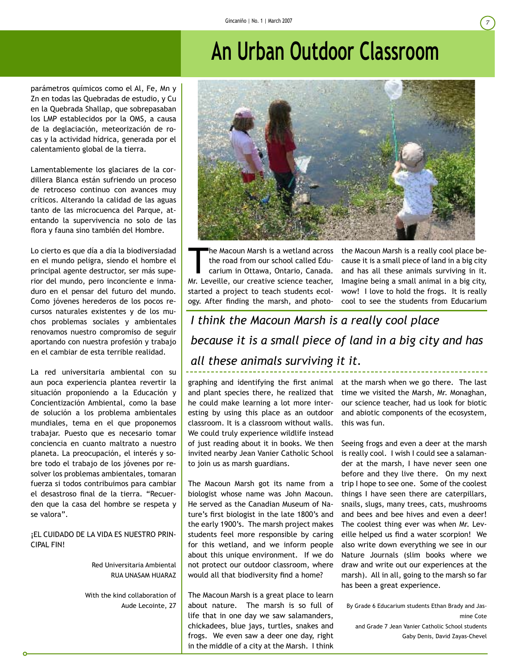## **An Urban Outdoor Classroom**

parámetros químicos como el Al, Fe, Mn y Zn en todas las Quebradas de estudio, y Cu en la Quebrada Shallap, que sobrepasaban los LMP establecidos por la OMS, a causa de la deglaciación, meteorización de rocas y la actividad hídrica, generada por el calentamiento global de la tierra.

Lamentablemente los glaciares de la cordillera Blanca están sufriendo un proceso de retroceso continuo con avances muy críticos. Alterando la calidad de las aguas tanto de las microcuenca del Parque, atentando la supervivencia no solo de las flora y fauna sino también del Hombre.

Lo cierto es que día a día la biodiversiadad en el mundo peligra, siendo el hombre el principal agente destructor, ser más superior del mundo, pero inconciente e inmaduro en el pensar del futuro del mundo. Como jóvenes herederos de los pocos recursos naturales existentes y de los muchos problemas sociales y ambientales renovamos nuestro compromiso de seguir aportando con nuestra profesión y trabajo en el cambiar de esta terrible realidad.

La red universitaria ambiental con su aun poca experiencia plantea revertir la situación proponiendo a la Educación y Concientización Ambiental, como la base de solución a los problema ambientales mundiales, tema en el que proponemos trabajar. Puesto que es necesario tomar conciencia en cuanto maltrato a nuestro planeta. La preocupación, el interés y sobre todo el trabajo de los jóvenes por resolver los problemas ambientales, tomaran fuerza si todos contribuimos para cambiar el desastroso final de la tierra. "Recuerden que la casa del hombre se respeta y se valora".

#### ¡EL CUIDADO DE LA VIDA ES NUESTRO PRIN-CIPAL FIN!

Red Universitaria Ambiental RUA UNASAM HUARAZ

With the kind collaboration of Aude Lecointe, 27

The Macoun Marsh is a wetland across<br>the road from our school called Edu-<br>carium in Ottawa, Ontario, Canada.<br>Mr. Loveillo, our creative science teacher the road from our school called Edu-

Mr. Leveille, our creative science teacher, started a project to teach students ecology. After finding the marsh, and photothe Macoun Marsh is a really cool place because it is a small piece of land in a big city and has all these animals surviving in it. Imagine being a small animal in a big city, wow! I love to hold the frogs. It is really cool to see the students from Educarium

*I think the Macoun Marsh is a really cool place because it is a small piece of land in a big city and has all these animals surviving it it.*

graphing and identifying the first animal at the marsh when we go there. The last and plant species there, he realized that time we visited the Marsh, Mr. Monaghan, he could make learning a lot more interesting by using this place as an outdoor classroom. It is a classroom without walls. We could truly experience wildlife instead of just reading about it in books. We then invited nearby Jean Vanier Catholic School to join us as marsh guardians.

The Macoun Marsh got its name from a biologist whose name was John Macoun. He served as the Canadian Museum of Nature's first biologist in the late 1800's and the early 1900's. The marsh project makes students feel more responsible by caring for this wetland, and we inform people about this unique environment. If we do not protect our outdoor classroom, where would all that biodiversity find a home?

The Macoun Marsh is a great place to learn about nature. The marsh is so full of life that in one day we saw salamanders, chickadees, blue jays, turtles, snakes and frogs. We even saw a deer one day, right in the middle of a city at the Marsh. I think

our science teacher, had us look for biotic and abiotic components of the ecosystem, this was fun.

Seeing frogs and even a deer at the marsh is really cool. I wish I could see a salamander at the marsh, I have never seen one before and they live there. On my next trip I hope to see one. Some of the coolest things I have seen there are caterpillars, snails, slugs, many trees, cats, mushrooms and bees and bee hives and even a deer! The coolest thing ever was when Mr. Leveille helped us find a water scorpion! We also write down everything we see in our Nature Journals (slim books where we draw and write out our experiences at the marsh). All in all, going to the marsh so far has been a great experience.

By Grade 6 Educarium students Ethan Brady and Jasmine Cote

and Grade 7 Jean Vanier Catholic School students Gaby Denis, David Zayas-Chevel

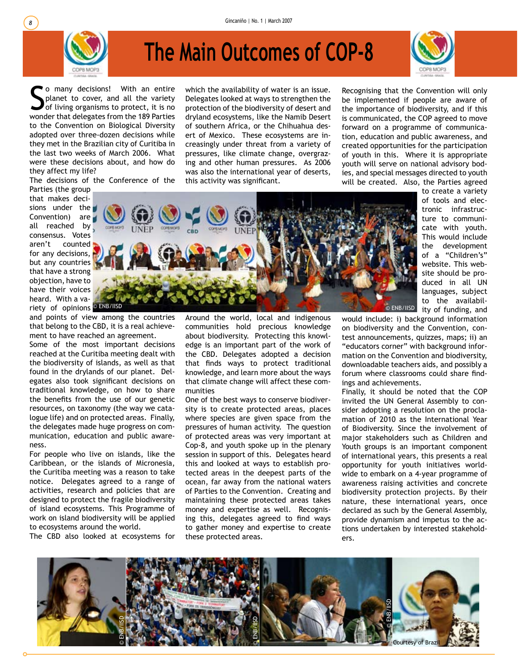

# **The Main Outcomes of COP-8**



So many decisions! With an entire<br>
Splanet to cover, and all the variety<br>
of living organisms to protect, it is no<br>
wonder that delegates from the 189 Parties o many decisions! With an entire planet to cover, and all the variety of living organisms to protect, it is no to the Convention on Biological Diversity adopted over three-dozen decisions while they met in the Brazilian city of Curitiba in the last two weeks of March 2006. What were these decisions about, and how do they affect my life?

The decisions of the Conference of the Parties (the group

that makes decisions under the Convention) are all reached by consensus. Votes aren't counted for any decisions, but any countries that have a strong objection, have to have their voices heard. With a variety of opinions<sup>® ENB/IISD</sup>

and points of view among the countries that belong to the CBD, it is a real achievement to have reached an agreement.

Some of the most important decisions reached at the Curitiba meeting dealt with the biodiversity of islands, as well as that found in the drylands of our planet. Delegates also took significant decisions on traditional knowledge, on how to share the benefits from the use of our genetic resources, on taxonomy (the way we catalogue life) and on protected areas. Finally, the delegates made huge progress on communication, education and public awareness.

For people who live on islands, like the Caribbean, or the islands of Micronesia, the Curitiba meeting was a reason to take notice. Delegates agreed to a range of activities, research and policies that are designed to protect the fragile biodiversity of island ecosystems. This Programme of work on island biodiversity will be applied to ecosystems around the world.

The CBD also looked at ecosystems for

which the availability of water is an issue. Delegates looked at ways to strengthen the protection of the biodiversity of desert and dryland ecosystems, like the Namib Desert of southern Africa, or the Chihuahua desert of Mexico. These ecosystems are increasingly under threat from a variety of pressures, like climate change, overgrazing and other human pressures. As 2006 was also the international year of deserts, this activity was significant.

Recognising that the Convention will only be implemented if people are aware of the importance of biodiversity, and if this is communicated, the COP agreed to move forward on a programme of communication, education and public awareness, and created opportunities for the participation of youth in this. Where it is appropriate youth will serve on national advisory bodies, and special messages directed to youth will be created. Also, the Parties agreed

This would include the development of a "Children's" website. This website should be produced in all UN languages, subject to the availabil-© ENB/IISD ity of funding, and would include: i) background information © ENB/IISD © ENB/IISD

to create a variety of tools and electronic infrastructure to communicate with youth.

Around the world, local and indigenous communities hold precious knowledge about biodiversity. Protecting this knowledge is an important part of the work of the CBD. Delegates adopted a decision that finds ways to protect traditional knowledge, and learn more about the ways that climate change will affect these communities

One of the best ways to conserve biodiversity is to create protected areas, places where species are given space from the pressures of human activity. The question of protected areas was very important at Cop-8, and youth spoke up in the plenary session in support of this. Delegates heard this and looked at ways to establish protected areas in the deepest parts of the ocean, far away from the national waters of Parties to the Convention. Creating and maintaining these protected areas takes money and expertise as well. Recognising this, delegates agreed to find ways to gather money and expertise to create these protected areas.

on biodiversity and the Convention, contest announcements, quizzes, maps; ii) an "educators corner" with background information on the Convention and biodiversity, downloadable teachers aids, and possibly a forum where classrooms could share findings and achievements.

Finally, it should be noted that the COP invited the UN General Assembly to consider adopting a resolution on the proclamation of 2010 as the International Year of Biodiversity. Since the involvement of major stakeholders such as Children and Youth groups is an important component of international years, this presents a real opportunity for youth initiatives worldwide to embark on a 4-year programme of awareness raising activities and concrete biodiversity protection projects. By their nature, these international years, once declared as such by the General Assembly, provide dynamism and impetus to the actions undertaken by interested stakeholders.

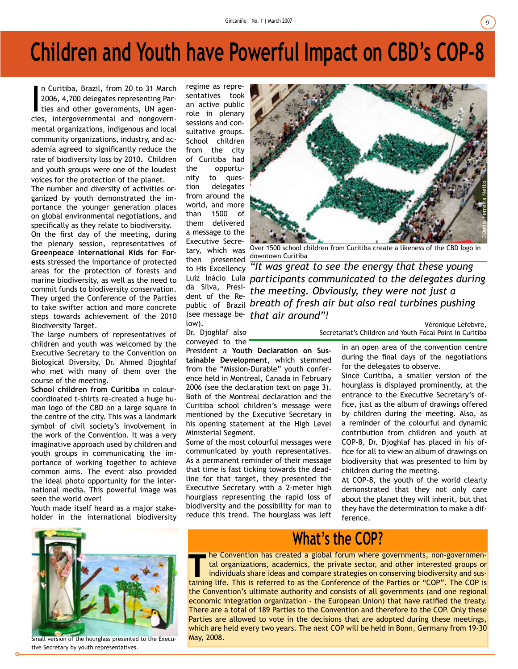## **Children and Youth have Powerful Impact on CBD's COP-8**

n Curitiba, Brazil, from 20 to 31 March<br>2006, 4,700 delegates representing Parties and other governments, UN agencies, intergovernmental and nongovernn Curitiba, Brazil, from 20 to 31 March 2006, 4,700 delegates representing Parties and other governments, UN agenmental organizations, indigenous and local community organizations, industry, and academia agreed to significantly reduce the rate of biodiversity loss by 2010. Children and youth groups were one of the loudest voices for the protection of the planet.

The number and diversity of activities organized by youth demonstrated the importance the younger generation places on global environmental negotiations, and specifically as they relate to biodiversity.

On the first day of the meeting, during the plenary session, representatives of **Greenpeace International Kids for Forests** stressed the importance of protected areas for the protection of forests and marine biodiversity, as well as the need to commit funds to biodiversity conservation. They urged the Conference of the Parties to take swifter action and more concrete steps towards achievement of the 2010 Biodiversity Target.

The large numbers of representatives of children and youth was welcomed by the Executive Secretary to the Convention on Biological Diversity, Dr. Ahmed Djoghlaf who met with many of them over the course of the meeting.

**School children from Curitiba** in colourcoordinated t-shirts re-created a huge human logo of the CBD on a large square in the centre of the city. This was a landmark symbol of civil society's involvement in the work of the Convention. It was a very imaginative approach used by children and youth groups in communicating the importance of working together to achieve common aims. The event also provided the ideal photo opportunity for the international media. This powerful image was seen the world over!

Youth made itself heard as a major stakeholder in the international biodiversity regime as representatives took an active public role in plenary sessions and consultative groups. School children from the city of Curitiba had the opportunity to question delegates from around the world, and more than 1500 of them delivered a message to the Executive Secretary, which was then presented da Silva, Presilow).

Dr. Djoghlaf also conveyed to the

President a **Youth Declaration on Sustainable Development**, which stemmed from the "Mission-Durable" youth conference held in Montreal, Canada in February 2006 (see the declaration text on page 3). Both of the Montreal declaration and the Curitiba school children's message were mentioned by the Executive Secretary in his opening statement at the High Level Ministerial Segment.

Some of the most colourful messages were communicated by youth representatives. As a permanent reminder of their message that time is fast ticking towards the deadline for that target, they presented the Executive Secretary with a 2-meter high hourglass representing the rapid loss of biodiversity and the possibility for man to reduce this trend. The hourglass was left



Over 1500 school children from Curitiba create a likeness of the CBD logo in downtown Curitiba

to His Excellency *"It was great to see the energy that these young*  Luiz Inácio Lula *participants communicated to the delegates during*  <sup>da Silva, Presi-</sup> the meeting. Obviously, they were not just a dent of the Republic of Brazil *breath of fresh air but also real turbines pushing*  (see message be-*that air around"!*

Véronique Lefebvre,

in an open area of the convention centre during the final days of the negotiations

for the delegates to observe. Since Curitiba, a smaller version of the hourglass is displayed prominently, at the entrance to the Executive Secretary's office, just as the album of drawings offered by children during the meeting. Also, as a reminder of the colourful and dynamic contribution from children and youth at COP-8, Dr. Djoghlaf has placed in his office for all to view an album of drawings on biodiversity that was presented to him by children during the meeting.

At COP-8, the youth of the world clearly demonstrated that they not only care about the planet they will inherit, but that they have the determination to make a difference.



Small version of the hourglass presented to the Executive Secretary by youth representatives.

#### **What's the COP?**

The Convention has created a global forum where governments, non-governmental organizations, academics, the private sector, and other interested groups or individuals share ideas and compare strategies on conserving biodiv tal organizations, academics, the private sector, and other interested groups or individuals share ideas and compare strategies on conserving biodiversity and sustaining life. This is referred to as the Conference of the Parties or "COP". The COP is the Convention's ultimate authority and consists of all governments (and one regional economic integration organization - the European Union) that have ratified the treaty. There are a total of 189 Parties to the Convention and therefore to the COP. Only these Parties are allowed to vote in the decisions that are adopted during these meetings, which are held every two years. The next COP will be held in Bonn, Germany from 19-30 May, 2008.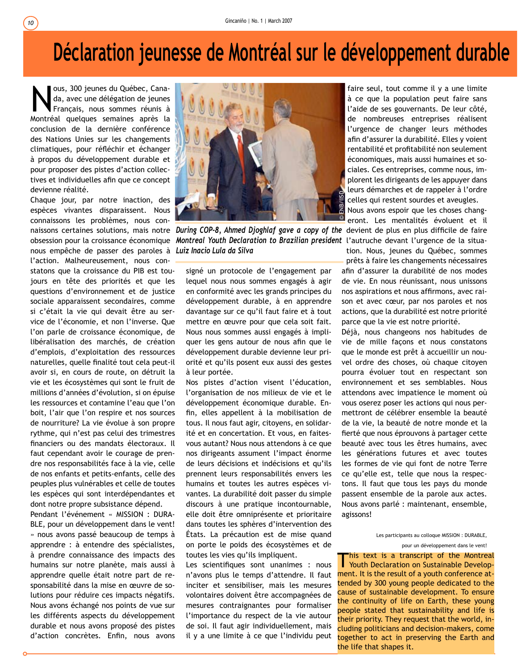# **Déclaration jeunesse de Montréal sur le développement durable**

Nous, 300 jeunes du Québec, Cana-<br>da, avec une délégation de jeunes<br>Français, nous sommes réunis à<br>Montréal, quelques somaines après la da, avec une délégation de jeunes Montréal quelques semaines après la conclusion de la dernière conférence des Nations Unies sur les changements climatiques, pour réfléchir et échanger à propos du développement durable et pour proposer des pistes d'action collectives et individuelles afin que ce concept devienne réalité.

Chaque jour, par notre inaction, des espèces vivantes disparaissent. Nous connaissons les problèmes, nous connous empêche de passer des paroles à *Luiz Inacio Lula da Silva* l'action. Malheureusement, nous constatons que la croissance du PIB est toujours en tête des priorités et que les questions d'environnement et de justice sociale apparaissent secondaires, comme si c'était la vie qui devait être au service de l'économie, et non l'inverse. Que l'on parle de croissance économique, de libéralisation des marchés, de création d'emplois, d'exploitation des ressources naturelles, quelle finalité tout cela peut-il avoir si, en cours de route, on détruit la vie et les écosystèmes qui sont le fruit de millions d'années d'évolution, si on épuise les ressources et contamine l'eau que l'on boit, l'air que l'on respire et nos sources de nourriture? La vie évolue à son propre rythme, qui n'est pas celui des trimestres financiers ou des mandats électoraux. Il faut cependant avoir le courage de prendre nos responsabilités face à la vie, celle de nos enfants et petits-enfants, celle des peuples plus vulnérables et celle de toutes les espèces qui sont interdépendantes et dont notre propre subsistance dépend.

Pendant l'événement « MISSION : DURA-BLE, pour un développement dans le vent! » nous avons passé beaucoup de temps à apprendre : à entendre des spécialistes, à prendre connaissance des impacts des humains sur notre planète, mais aussi à apprendre quelle était notre part de responsabilité dans la mise en œuvre de solutions pour réduire ces impacts négatifs. Nous avons échangé nos points de vue sur les différents aspects du développement durable et nous avons proposé des pistes d'action concrètes. Enfin, nous avons



naissons certaines solutions, mais notre *During COP-8, Ahmed Djoghlaf gave a copy of the* devient de plus en plus difficile de faire obsession pour la croissance économique *Montreal Youth Declaration to Brazilian president l'*autruche devant l'urgence de la situa-

signé un protocole de l'engagement par lequel nous nous sommes engagés à agir en conformité avec les grands principes du développement durable, à en apprendre davantage sur ce qu'il faut faire et à tout mettre en œuvre pour que cela soit fait. Nous nous sommes aussi engagés à impliquer les gens autour de nous afin que le développement durable devienne leur priorité et qu'ils posent eux aussi des gestes à leur portée.

Nos pistes d'action visent l'éducation, l'organisation de nos milieux de vie et le développement économique durable. Enfin, elles appellent à la mobilisation de tous. Il nous faut agir, citoyens, en solidarité et en concertation. Et vous, en faitesvous autant? Nous nous attendons à ce que nos dirigeants assument l'impact énorme de leurs décisions et indécisions et qu'ils prennent leurs responsabilités envers les humains et toutes les autres espèces vivantes. La durabilité doit passer du simple discours à une pratique incontournable, elle doit être omniprésente et prioritaire dans toutes les sphères d'intervention des États. La précaution est de mise quand on porte le poids des écosystèmes et de toutes les vies qu'ils impliquent.

Les scientifiques sont unanimes : nous n'avons plus le temps d'attendre. Il faut inciter et sensibiliser, mais les mesures volontaires doivent être accompagnées de mesures contraignantes pour formaliser l'importance du respect de la vie autour de soi. Il faut agir individuellement, mais il y a une limite à ce que l'individu peut

faire seul, tout comme il y a une limite à ce que la population peut faire sans l'aide de ses gouvernants. De leur côté, de nombreuses entreprises réalisent l'urgence de changer leurs méthodes afin d'assurer la durabilité. Elles y voient rentabilité et profitabilité non seulement économiques, mais aussi humaines et sociales. Ces entreprises, comme nous, implorent les dirigeants de les appuyer dans leurs démarches et de rappeler à l'ordre celles qui restent sourdes et aveugles. Nous avons espoir que les choses chang-

eront. Les mentalités évoluent et il

tion. Nous, jeunes du Québec, sommes prêts à faire les changements nécessaires afin d'assurer la durabilité de nos modes de vie. En nous réunissant, nous unissons nos aspirations et nous affirmons, avec raison et avec cœur, par nos paroles et nos actions, que la durabilité est notre priorité parce que la vie est notre priorité.

Déjà, nous changeons nos habitudes de vie de mille façons et nous constatons que le monde est prêt à accueillir un nouvel ordre des choses, où chaque citoyen pourra évoluer tout en respectant son environnement et ses semblables. Nous attendons avec impatience le moment où vous oserez poser les actions qui nous permettront de célébrer ensemble la beauté de la vie, la beauté de notre monde et la fierté que nous éprouvons à partager cette beauté avec tous les êtres humains, avec les générations futures et avec toutes les formes de vie qui font de notre Terre ce qu'elle est, telle que nous la respectons. Il faut que tous les pays du monde passent ensemble de la parole aux actes. Nous avons parlé : maintenant, ensemble, agissons! En celles qui restent si<br>
celles qui restent si<br>
Nous avons espoir c<br>
enont. Les menta<br>
devient de plus en<br>
t'on. Nous, jeunes<br>
prêts à faire les cha<br>
afin d'assurer la durab<br>
de vie. En nous réun<br>
nos aspirations et nou<br>

Les participants au colloque MISSION : DURABLE, pour un développement dans le vent!

'his text is a transcript of the Montreal This text is a transcript of the Montreal<br>Youth Declaration on Sustainable Development. It is the result of a youth conference attended by 300 young people dedicated to the cause of sustainable development. To ensure the continuity of life on Earth, these young people stated that sustainability and life is their priority. They request that the world, including politicians and decision-makers, come together to act in preserving the Earth and the life that shapes it.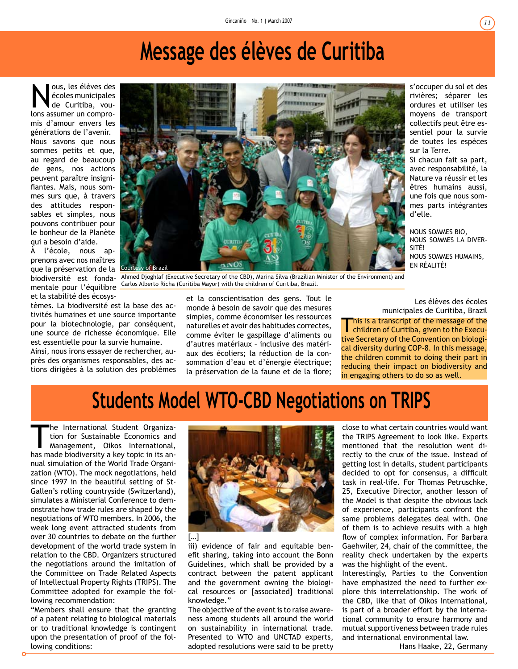## **Message des élèves de Curitiba**

Nous, les élèves des<br>
de Curitiba, vou-<br>
lons assumer un comproécoles municipales lons assumer un compromis d'amour envers les générations de l'avenir. Nous savons que nous sommes petits et que, au regard de beaucoup de gens, nos actions peuvent paraître insignifiantes. Mais, nous sommes surs que, à travers des attitudes responsables et simples, nous pouvons contribuer pour le bonheur de la Planète qui a besoin d'aide.

À l'école, nous apprenons avec nos maîtres que la préservation de la mentale pour l'équilibre et la stabilité des écosys-

tèmes. La biodiversité est la base des activités humaines et une source importante pour la biotechnologie, par conséquent, une source de richesse économique. Elle est essentielle pour la survie humaine.

Ainsi, nous irons essayer de rechercher, auprès des organismes responsables, des actions dirigées à la solution des problèmes



biodiversité est fonda-Ahmed Djoghlaf (Executive Secretary of the CBD), Marina Silva (Brazilian Minister of the Environment) and Carlos Alberto Richa (Curitiba Mayor) with the children of Curitiba, Brazil.

et la conscientisation des gens. Tout le monde à besoin de savoir que des mesures simples, comme économiser les ressources naturelles et avoir des habitudes correctes, comme éviter le gaspillage d'aliments ou d'autres matériaux – inclusive des matériaux des écoliers; la réduction de la consommation d'eau et d'énergie électrique; la préservation de la faune et de la flore;

Les élèves des écoles

NOUS SOMMES BIO, NOUS SOMMES LA DIVER-

NOUS SOMMES HUMAINS,

This is a transcript of the message of the children of Curitiba, given to the Executive Secretary of the Convention on biological diversity during COP-8. In this message, the children commit to doing their part in reducing their impact on biodiversity and in engaging others to do so as well. municipales de Curitiba, Brazil

#### **Students Model WTO-CBD Negotiations on TRIPS**

The International Student Organization for Sustainable Economics and Management, Oikos International, has made biodiversity a key topic in its annual simulation of the World Trade Organization (WTO). The mock negotiations, held since 1997 in the beautiful setting of St-Gallen's rolling countryside (Switzerland), simulates a Ministerial Conference to demonstrate how trade rules are shaped by the negotiations of WTO members. In 2006, the week long event attracted students from over 30 countries to debate on the further development of the world trade system in relation to the CBD. Organizers structured the negotiations around the imitation of the Committee on Trade Related Aspects of Intellectual Property Rights (TRIPS). The Committee adopted for example the following recommendation:

"Members shall ensure that the granting of a patent relating to biological materials or to traditional knowledge is contingent upon the presentation of proof of the following conditions:



iii) evidence of fair and equitable benefit sharing, taking into account the Bonn Guidelines, which shall be provided by a contract between the patent applicant and the government owning the biological resources or [associated] traditional knowledge."

The objective of the event is to raise awareness among students all around the world on sustainability in international trade. Presented to WTO and UNCTAD experts, adopted resolutions were said to be pretty

close to what certain countries would want the TRIPS Agreement to look like. Experts mentioned that the resolution went directly to the crux of the issue. Instead of getting lost in details, student participants decided to opt for consensus, a difficult task in real-life. For Thomas Petruschke, 25, Executive Director, another lesson of the Model is that despite the obvious lack of experience, participants confront the same problems delegates deal with. One of them is to achieve results with a high flow of complex information. For Barbara Gaehwiler, 24, chair of the committee, the reality check undertaken by the experts was the highlight of the event.

Interestingly, Parties to the Convention have emphasized the need to further explore this interrelationship. The work of the CBD, like that of Oikos International, is part of a broader effort by the international community to ensure harmony and mutual supportiveness between trade rules and international environmental law.

Hans Haake, 22, Germany

s'occuper du sol et des rivières; séparer les ordures et utiliser les moyens de transport collectifs peut être essentiel pour la survie de toutes les espèces

Si chacun fait sa part, avec responsabilité, la Nature va réussir et les êtres humains aussi, une fois que nous sommes parts intégrantes

sur la Terre.

d'elle.

SITÉ!

EN RÉALITÉ!